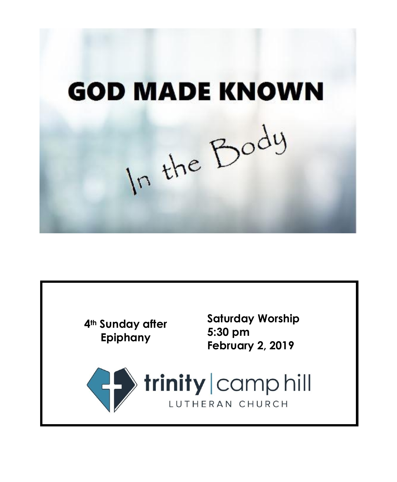**GOD MADE KNOWN** In the Body

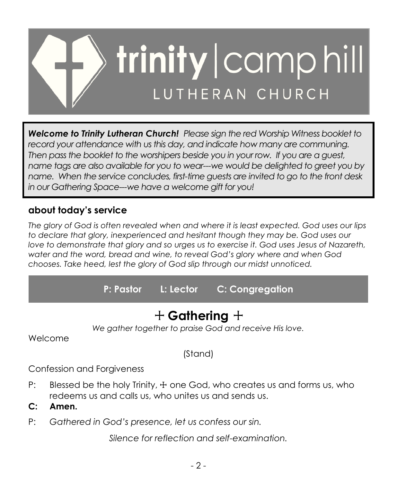

*Welcome to Trinity Lutheran Church! Please sign the red Worship Witness booklet to record your attendance with us this day, and indicate how many are communing. Then pass the booklet to the worshipers beside you in your row. If you are a guest, name tags are also available for you to wear---we would be delighted to greet you by name. When the service concludes, first-time guests are invited to go to the front desk in our Gathering Space---we have a welcome gift for you!*

# **about today's service**

*The glory of God is often revealed when and where it is least expected. God uses our lips to declare that glory, inexperienced and hesitant though they may be. God uses our love to demonstrate that glory and so urges us to exercise it. God uses Jesus of Nazareth, water and the word, bread and wine, to reveal God's glory where and when God chooses. Take heed, lest the glory of God slip through our midst unnoticed.*

**P: Pastor L: Lector C: Congregation**

# + **Gathering** +

*We gather together to praise God and receive His love.*

Welcome

(Stand)

Confession and Forgiveness

- P: Blessed be the holy Trinity,  $\pm$  one God, who creates us and forms us, who redeems us and calls us, who unites us and sends us.
- **C: Amen.**
- P: *Gathered in God's presence, let us confess our sin.*

*Silence for reflection and self-examination.*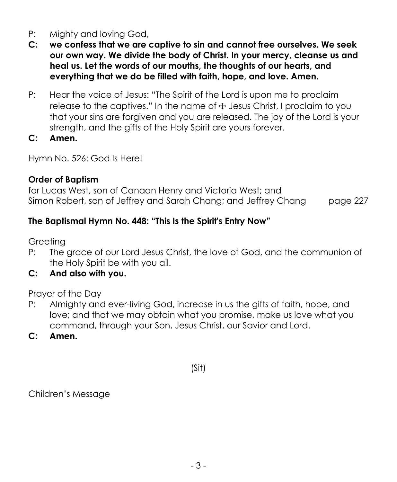- P: Mighty and loving God,
- **C: we confess that we are captive to sin and cannot free ourselves. We seek our own way. We divide the body of Christ. In your mercy, cleanse us and heal us. Let the words of our mouths, the thoughts of our hearts, and everything that we do be filled with faith, hope, and love. Amen.**
- P: Hear the voice of Jesus: "The Spirit of the Lord is upon me to proclaim release to the captives." In the name of  $\pm$  Jesus Christ, I proclaim to you that your sins are forgiven and you are released. The joy of the Lord is your strength, and the gifts of the Holy Spirit are yours forever.
- **C: Amen.**

Hymn No. 526: God Is Here!

## **Order of Baptism**

for Lucas West, son of Canaan Henry and Victoria West; and Simon Robert, son of Jeffrey and Sarah Chang; and Jeffrey Chang page 227

## **The Baptismal Hymn No. 448: "This Is the Spirit's Entry Now"**

Greeting

- P: The grace of our Lord Jesus Christ, the love of God, and the communion of the Holy Spirit be with you all.
- **C: And also with you.**

Prayer of the Day

- P: Almighty and ever-living God, increase in us the gifts of faith, hope, and love; and that we may obtain what you promise, make us love what you command, through your Son, Jesus Christ, our Savior and Lord.
- **C: Amen.**

(Sit)

Children's Message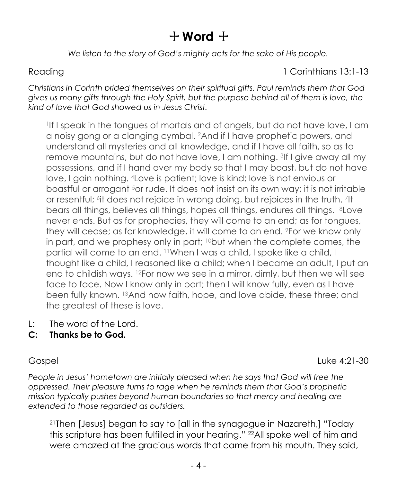# $+$  Word  $+$

*We listen to the story of God's mighty acts for the sake of His people.*

### Reading 13:1-13

*Christians in Corinth prided themselves on their spiritual gifts. Paul reminds them that God gives us many gifts through the Holy Spirit, but the purpose behind all of them is love, the kind of love that God showed us in Jesus Christ.*

1 If I speak in the tongues of mortals and of angels, but do not have love, I am a noisy gong or a clanging cymbal. <sup>2</sup>And if I have prophetic powers, and understand all mysteries and all knowledge, and if I have all faith, so as to remove mountains, but do not have love, I am nothing. <sup>3</sup> If I give away all my possessions, and if I hand over my body so that I may boast, but do not have love, I gain nothing. 4Love is patient; love is kind; love is not envious or boastful or arrogant <sup>5</sup>or rude. It does not insist on its own way; it is not irritable or resentful; <sup>6</sup>it does not rejoice in wrong doing, but rejoices in the truth. 7It bears all things, believes all things, hopes all things, endures all things. 8Love never ends. But as for prophecies, they will come to an end; as for tongues, they will cease; as for knowledge, it will come to an end. <sup>9</sup>For we know only in part, and we prophesy only in part;  $10$  but when the complete comes, the partial will come to an end. <sup>11</sup>When I was a child, I spoke like a child, I thought like a child, I reasoned like a child; when I became an adult, I put an end to childish ways. <sup>12</sup>For now we see in a mirror, dimly, but then we will see face to face. Now I know only in part; then I will know fully, even as I have been fully known. <sup>13</sup>And now faith, hope, and love abide, these three; and the greatest of these is love.

- L: The word of the Lord.
- **C: Thanks be to God.**

Gospel Luke 4:21-30

*People in Jesus' hometown are initially pleased when he says that God will free the oppressed. Their pleasure turns to rage when he reminds them that God's prophetic mission typically pushes beyond human boundaries so that mercy and healing are extended to those regarded as outsiders.*

<sup>21</sup>Then [Jesus] began to say to [all in the synagogue in Nazareth,] "Today this scripture has been fulfilled in your hearing." <sup>22</sup>All spoke well of him and were amazed at the gracious words that came from his mouth. They said,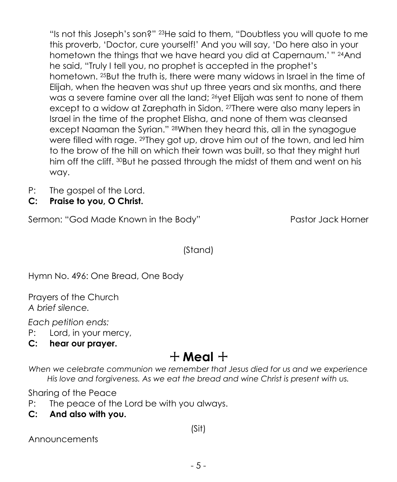"Is not this Joseph's son?" <sup>23</sup>He said to them, "Doubtless you will quote to me this proverb, 'Doctor, cure yourself!' And you will say, 'Do here also in your hometown the things that we have heard you did at Capernaum.' " <sup>24</sup>And he said, "Truly I tell you, no prophet is accepted in the prophet's hometown. <sup>25</sup>But the truth is, there were many widows in Israel in the time of Elijah, when the heaven was shut up three years and six months, and there was a severe famine over all the land; <sup>26</sup>yet Elijah was sent to none of them except to a widow at Zarephath in Sidon. <sup>27</sup>There were also many lepers in Israel in the time of the prophet Elisha, and none of them was cleansed except Naaman the Syrian." <sup>28</sup>When they heard this, all in the synagogue were filled with rage. <sup>29</sup>They got up, drove him out of the town, and led him to the brow of the hill on which their town was built, so that they might hurl him off the cliff. 30But he passed through the midst of them and went on his way.

- P: The gospel of the Lord.
- **C: Praise to you, O Christ.**

Sermon: "God Made Known in the Body" Pastor Jack Horner

(Stand)

Hymn No. 496: One Bread, One Body

Prayers of the Church *A brief silence.*

*Each petition ends:*

- P: Lord, in your mercy,
- **C: hear our prayer.**

# $+$  Meal  $+$

*When we celebrate communion we remember that Jesus died for us and we experience His love and forgiveness. As we eat the bread and wine Christ is present with us.*

Sharing of the Peace

- P: The peace of the Lord be with you always.
- **C: And also with you.**

(Sit)

Announcements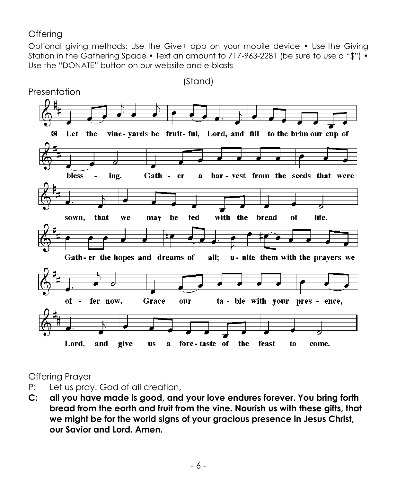### **Offering**

Optional giving methods: Use the Give+ app on your mobile device • Use the Giving Station in the Gathering Space • Text an amount to 717-963-2281 (be sure to use a "\$") • Use the "DONATE" button on our website and e-blasts



Offering Prayer

- P: Let us pray. God of all creation,
- **C: all you have made is good, and your love endures forever. You bring forth bread from the earth and fruit from the vine. Nourish us with these gifts, that we might be for the world signs of your gracious presence in Jesus Christ, our Savior and Lord. Amen.**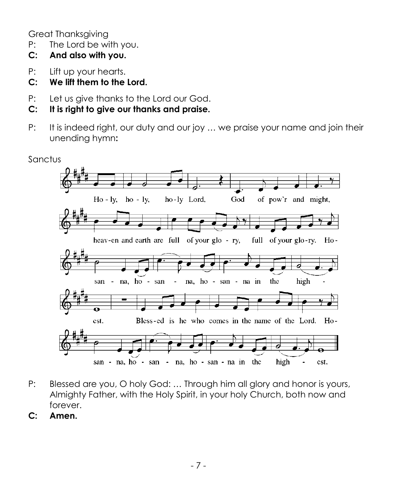Great Thanksgiving

- P: The Lord be with you.
- **C: And also with you.**
- P: Lift up your hearts.
- **C: We lift them to the Lord.**
- P: Let us give thanks to the Lord our God.
- **C: It is right to give our thanks and praise.**
- P: It is indeed right, our duty and our joy ... we praise your name and join their unending hymn**:**



- P: Blessed are you, O holy God: … Through him all glory and honor is yours, Almighty Father, with the Holy Spirit, in your holy Church, both now and forever.
- **C: Amen.**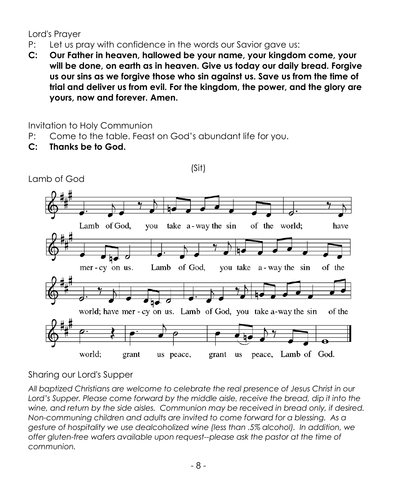Lord's Prayer

- P: Let us pray with confidence in the words our Savior gave us:
- **C: Our Father in heaven, hallowed be your name, your kingdom come, your will be done, on earth as in heaven. Give us today our daily bread. Forgive us our sins as we forgive those who sin against us. Save us from the time of trial and deliver us from evil. For the kingdom, the power, and the glory are yours, now and forever. Amen.**

(Sit)

Invitation to Holy Communion

- P: Come to the table. Feast on God's abundant life for you.
- **C: Thanks be to God.**



Lamb of God

Sharing our Lord's Supper

*All baptized Christians are welcome to celebrate the real presence of Jesus Christ in our*  Lord's Supper. Please come forward by the middle aisle, receive the bread, dip it into the *wine, and return by the side aisles. Communion may be received in bread only, if desired. Non-communing children and adults are invited to come forward for a blessing. As a gesture of hospitality we use dealcoholized wine (less than .5% alcohol). In addition, we offer gluten-free wafers available upon request--please ask the pastor at the time of communion.*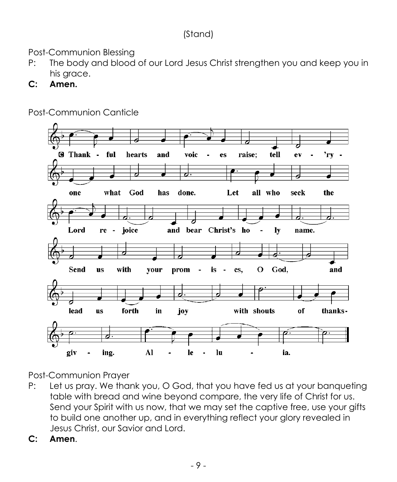## (Stand)

Post-Communion Blessing

- P: The body and blood of our Lord Jesus Christ strengthen you and keep you in his grace.
- **C: Amen.**



Post-Communion Canticle

Post-Communion Prayer

- P: Let us pray. We thank you, O God, that you have fed us at your banqueting table with bread and wine beyond compare, the very life of Christ for us. Send your Spirit with us now, that we may set the captive free, use your gifts to build one another up, and in everything reflect your glory revealed in Jesus Christ, our Savior and Lord.
- **C: Amen**.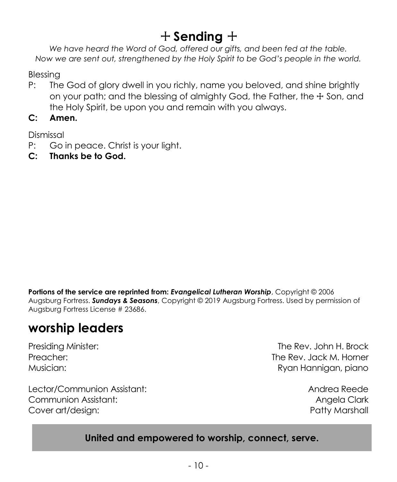# + **Sending** +

*We have heard the Word of God, offered our gifts, and been fed at the table. Now we are sent out, strengthened by the Holy Spirit to be God's people in the world.* 

Blessing

- P: The God of glory dwell in you richly, name you beloved, and shine brightly on your path; and the blessing of almighty God, the Father, the  $\pm$  Son, and the Holy Spirit, be upon you and remain with you always.
- **C: Amen.**

Dismissal

- P: Go in peace. Christ is your light.
- **C: Thanks be to God.**

**Portions of the service are reprinted from:** *Evangelical Lutheran Worship*, Copyright © 2006 Augsburg Fortress. *Sundays & Seasons*, Copyright © 2019 Augsburg Fortress. Used by permission of Augsburg Fortress License # 23686.

# **worship leaders**

Lector/Communion Assistant: Andrea Reede Communion Assistant: Angela Clark Cover art/design: extending the state of the state of the Patty Marshall

Presiding Minister: The Rev. John H. Brock Preacher: The Rev. Jack M. Horner Musician: Ryan Hannigan, piano

## **United and empowered to worship, connect, serve.**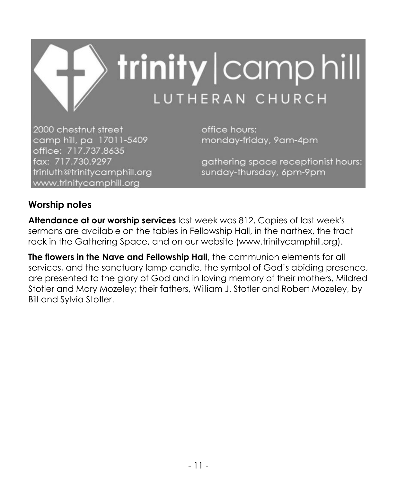

2000 chestnut street camp hill, pa 17011-5409 office: 717.737.8635 fax: 717.730.9297 trinluth@trinitycamphill.org www.trinitycamphill.org

office hours: monday-friday, 9am-4pm

gathering space receptionist hours: sunday-thursday, 6pm-9pm

## **Worship notes**

**Attendance at our worship services** last week was 812. Copies of last week's sermons are available on the tables in Fellowship Hall, in the narthex, the tract rack in the Gathering Space, and on our website (www.trinitycamphill.org).

**The flowers in the Nave and Fellowship Hall**, the communion elements for all services, and the sanctuary lamp candle, the symbol of God's abiding presence, are presented to the glory of God and in loving memory of their mothers, Mildred Stotler and Mary Mozeley; their fathers, William J. Stotler and Robert Mozeley, by Bill and Sylvia Stotler.